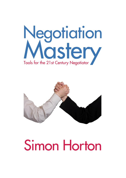



**Simon Horton**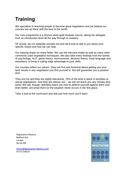# **Training**

We specialise in teaching people to become great negotiators and we believe our courses are up there with the best in the world.

Our core programme is a bronze-silver-gold modular course, taking the delegate from an introduction level all the way through to mastery.

Of course, we run bespoke courses too and we'd love to [talk to you](http://www.negotiation-mastery.com/about/get-in-touch/) about your specific needs and how we can help.

Our training draws on many fields. We use the Harvard model as well as many other commonly used negotiation techniques. We also take many findings from the worlds of psychology, NLP, game theory, neuroscience, decision theory, body language and elsewhere, to bring a cutting edge advantage to your skills.

Our courses reflect our [values.](http://www.negotiation-mastery.com/about/values/) They are first and foremost about getting you your best results in any negotiation you find yourself in. We will [guarantee](http://www.negotiation-mastery.com/about/guarantee/) you a positive ROI.

They are fun and they are highly interactive, 75% of the time is spent in activities or actual negotiations. And they are ethical, too – we will not teach you any sneaky dirty tricks! We will, though, definitely teach you how to defend yourself against them and, even better, pre-empt them so the situation never occurs in the first place.

Take a look at the [curriculum](http://www.negotiation-mastery.com/training/training-programme/) and see just how much you'll learn.

Negotiation Mastery Bedford Ave London WC1B 3AE

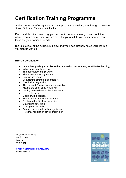# **Certification Training Programme**

At the core of our offering is our modular programme – taking you through to Bronze, Silver, Gold and Mastery certification.

Each module is two days long, you can book one at a time or you can book the whole programme at once. We are even happy to talk to you to see how we can tailor it to your particular needs.

But take a look at the curriculum below and you'll see just how much you'll learn if you sign up with us.

## **Bronze Certification**

- Learn the 4 guiding principles and 6 step method to the Strong Win-Win Methodology
- What great negotiators do
- The negotiator's magic wand
- The power of a strong Plan B
- Establishing rapport
- **Establishing strength and credibility**
- Distributive negotiation
- The Harvard Principle-centred negotiation
- Moving the other party to win-win
- Getting into the head of the other party
- 3 steps to win-win
- Dealing with deadlock
- The power of conditional language
- Dealing with difficult personalities
- Countering dirty tricks
- Closing successfully
- Being your best self in the negotiation
- Personal negotiation development plan

Negotiation Mastery Bedford Ave London WC1B 3AE

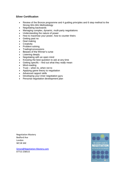#### **Silver Certification**

- Review of the Bronze programme and 4 guiding principles and 6 step method to the Strong Win-Win Methodology
- Negotiating backwards
- Managing complex, dynamic, multi-party negotiations
- Understanding the nature of power
- How to maximise your power, how to counter theirs
- Getting past no
- Deal making
- Creativity
- Problem-solving
- Trading/concessions
- Beware of the Winner's curse
- Listening deeply
- Negotiating with an open mind
- Knowing the best question to ask at any time
- Getting specific find out what they *really* mean
- Mind-reading
- $\bullet$  Trust when to, when not to
- Applying game theory to negotiation
- Advanced rapport skills
- Developing your inner negotiation guru
- Personal negotiation development plan

Negotiation Mastery Bedford Ave London WC1B 3AE

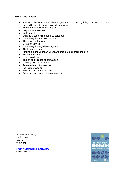## **Gold Certification**

- Review of the Bronze and Silver programmes and the 4 guiding principles and 6-step method to the Strong Win-Win Methodology
- Turn them into a win-win fanatic
- Be your own mediator
- Wolf school!
- Building a compelling frame to persuade
- Controlling the reality of the deal
- The power of framing
- Group dynamics
- Controlling the negotiation agenda
- Thinking on your feet
- Finding out the unknown unknowns that make or break the deal
- Mental rehearsal
- Detecting deceit
- The art and science of persuasion
- Working with ambivalence
- Turning their pains to gains
- Indirect persuasion
- Building your personal power
- Personal negotiation development plan

Negotiation Mastery Bedford Ave London WC1B 3AE